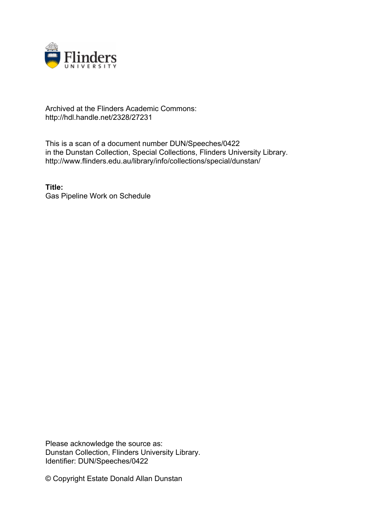

# Archived at the Flinders Academic Commons: http://hdl.handle.net/2328/27231

This is a scan of a document number DUN/Speeches/0422 in the Dunstan Collection, Special Collections, Flinders University Library. http://www.flinders.edu.au/library/info/collections/special/dunstan/

**Title:** Gas Pipeline Work on Schedule

Please acknowledge the source as: Dunstan Collection, Flinders University Library. Identifier: DUN/Speeches/0422

© Copyright Estate Donald Allan Dunstan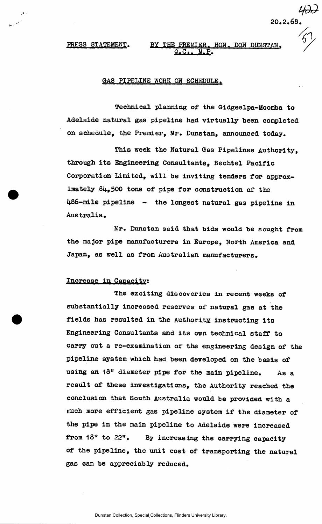## PRESS STATEMENT. BY THE PREMIER. HON. DON DUNSTAN.  $\ldots$  M.P.

*20.2.68.* 

 $\prime_{\mathcal{L}}$ 

# GAS PIPELINE WORK ON SCHEDULE.

Technical planning of the Gidgealpa-Moomba to Adelaide natural gas pipeline had virtually been completed on schedule, the Premier, Mr. Dunstan, announced today.

This week the Natural Gas Pipelines Authority, through its Engineering Consultants, Bechtel Pacific Corporation Limited, will he inviting tenders for approximately 84,500 tons of pipe for construction of the 486-mile pipeline - the longest natural gas pipeline in Australia.

Mr. Dunstan said that bids would be sought from the major pipe manufacturers in Europe, North America and Japan, as well as from Australian manufacturers.

## Increase in Capacity:

The exciting discoveries in recent weeks of substantially increased reserves of natural gas at the fields has resulted in the Authority instructing its Engineering Consultants and its own technical staff to carry out a re-examination of the engineering design of the pipeline system which had been developed on the basis of using an 18" diameter pipe for the main pipeline. As a result of these investigations, the Authority reached the conclusion that South Australia would be provided with a much more efficient gas pipeline system if the diameter of the pipe in the main pipeline to Adelaide were increased from 18" to 22". By increasing the carrying capacity of the pipeline, the unit cost of transporting the natural gas can be appreciably reduced.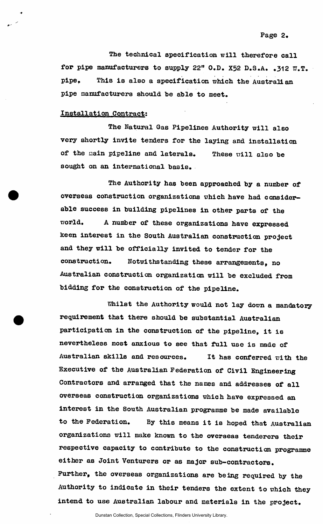The technical specification will therefore call for pipe manufacturers to supply 22" O.D. X52 D.S.A. *.312* W.T. pipe. This is also a specification which the Australian pipe manufacturers should he able to meet.

#### Installation Contract:

The Natural Gas Pipelines Authority will also very shortly invite tenders for the laying and installation of the main pipeline and laterals. These will also be sought on an international basis.

The Authority has been approached by a number of overseas construction organizations which have had considerable success in building pipelines in other parts of the world. A number of these organizations have expressed keen interest in the South Australian construction project and they will be officially invited to tender for the construction. Notwithstanding these arrangements, no Australian construction organization will be excluded from bidding for the construction of the pipeline.

Whilst the Authority would not lay down a mandatory requirement that there should be substantial Australian participation in the construction of the pipeline, it is nevertheless most anxious to see that full use is made of Australian skills and resources. It has conferred with the Executive of the Australian Federation of Civil Engineering Contractors and arranged that the names and addresses of all overseas construction organizations which have expressed an interest in the South Australian programme be made available to the Federation. By this means it is hoped that Australian organizations will make known to the overseas tenderers their respective capacity to contribute to the construction programme either as Joint Venturers or as major sub-contractors. Further, the overseas organizations are being required by the Authority to indicate in their tenders the extent to which they intend to use Australian labour and materials in the project.